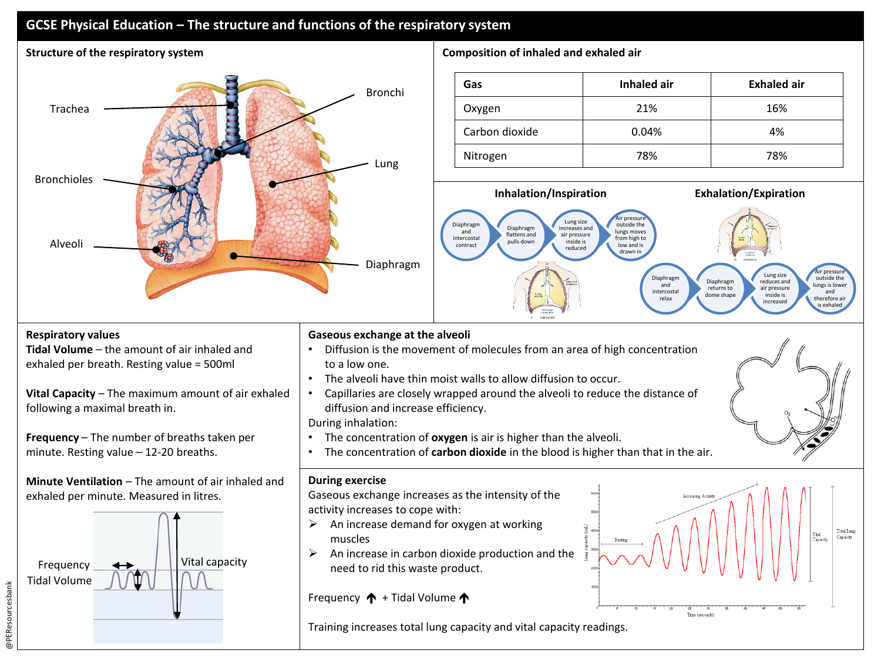# **GCSE Physical Education – The structure and functions of the respiratory system**



#### **Structure of the respiratory system Composition of inhaled and exhaled air**

| Gas            | Inhaled air | <b>Exhaled air</b> |
|----------------|-------------|--------------------|
| Oxygen         | 21%         | 16%                |
| Carbon dioxide | 0.04%       | 4%                 |
| Nitrogen       | 78%         | 78%                |



## **Respiratory values**

**Tidal Volume** – the amount of air inhaled and exhaled per breath. Resting value = 500ml

**Vital Capacity** – The maximum amount of air exhaled following a maximal breath in.

**Frequency** – The number of breaths taken per minute. Resting value – 12-20 breaths.

**Minute Ventilation** – The amount of air inhaled and exhaled per minute. Measured in litres.



## **Gaseous exchange at the alveoli**

- Diffusion is the movement of molecules from an area of high concentration to a low one.
- The alveoli have thin moist walls to allow diffusion to occur.
- Capillaries are closely wrapped around the alveoli to reduce the distance of diffusion and increase efficiency.

During inhalation:

- The concentration of **oxygen** is air is higher than the alveoli.
- The concentration of **carbon dioxide** in the blood is higher than that in the air.

#### **During exercise**

Gaseous exchange increases as the intensity of the activity increases to cope with:

- $\triangleright$  An increase demand for oxygen at working muscles
- $\triangleright$  An increase in carbon dioxide production and the need to rid this waste product.

Frequency  $\bigwedge$  + Tidal Volume  $\bigwedge$ 



Training increases total lung capacity and vital capacity readings.